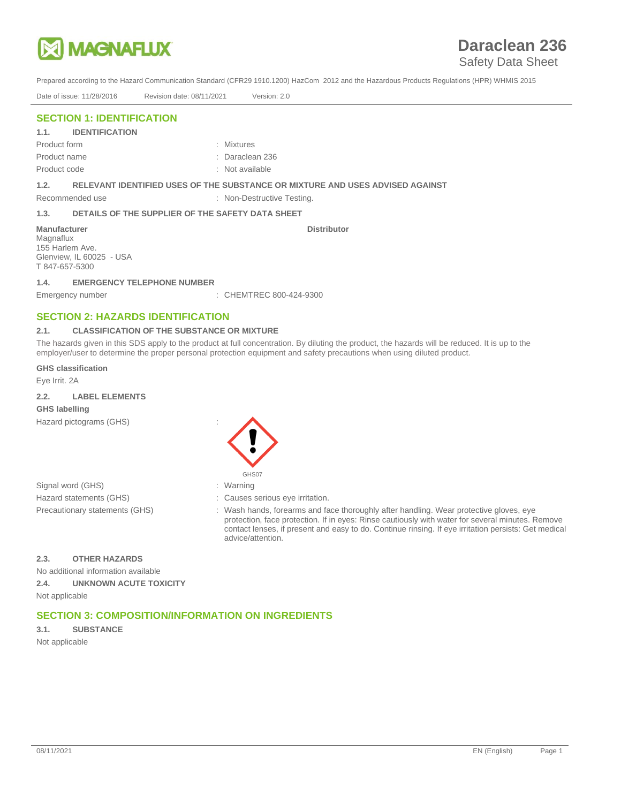

## Safety Data Sheet

Prepared according to the Hazard Communication Standard (CFR29 1910.1200) HazCom 2012 and the Hazardous Products Regulations (HPR) WHMIS 2015

Date of issue: 11/28/2016 Revision date: 08/11/2021 Version: 2.0

## **SECTION 1: IDENTIFICATION**

### **1.1. IDENTIFICATION**

Product form : Mixtures Product name : Daraclean 236 Product code : Not available : Not available

**1.2. RELEVANT IDENTIFIED USES OF THE SUBSTANCE OR MIXTURE AND USES ADVISED AGAINST**

## Recommended use : Non-Destructive Testing.

#### **1.3. DETAILS OF THE SUPPLIER OF THE SAFETY DATA SHEET**

**Manufacturer** Magnaflux 155 Harlem Ave. Glenview, IL 60025 - USA T 847-657-5300

**1.4. EMERGENCY TELEPHONE NUMBER**

Emergency number : CHEMTREC 800-424-9300

## **SECTION 2: HAZARDS IDENTIFICATION**

## **2.1. CLASSIFICATION OF THE SUBSTANCE OR MIXTURE**

The hazards given in this SDS apply to the product at full concentration. By diluting the product, the hazards will be reduced. It is up to the employer/user to determine the proper personal protection equipment and safety precautions when using diluted product.

**Distributor** 

**GHS classification**

Eye Irrit. 2A

### **2.2. LABEL ELEMENTS GHS labelling**

Hazard pictograms (GHS) :

Signal word (GHS) Hazard statements (GHS) Precautionary statements (GHS)



- : Warning
- : Causes serious eye irritation.

: Wash hands, forearms and face thoroughly after handling. Wear protective gloves, eye protection, face protection. If in eyes: Rinse cautiously with water for several minutes. Remove contact lenses, if present and easy to do. Continue rinsing. If eye irritation persists: Get medical advice/attention.

### **2.3. OTHER HAZARDS**

No additional information available **2.4. UNKNOWN ACUTE TOXICITY** Not applicable

## **SECTION 3: COMPOSITION/INFORMATION ON INGREDIENTS**

# **3.1. SUBSTANCE**

Not applicable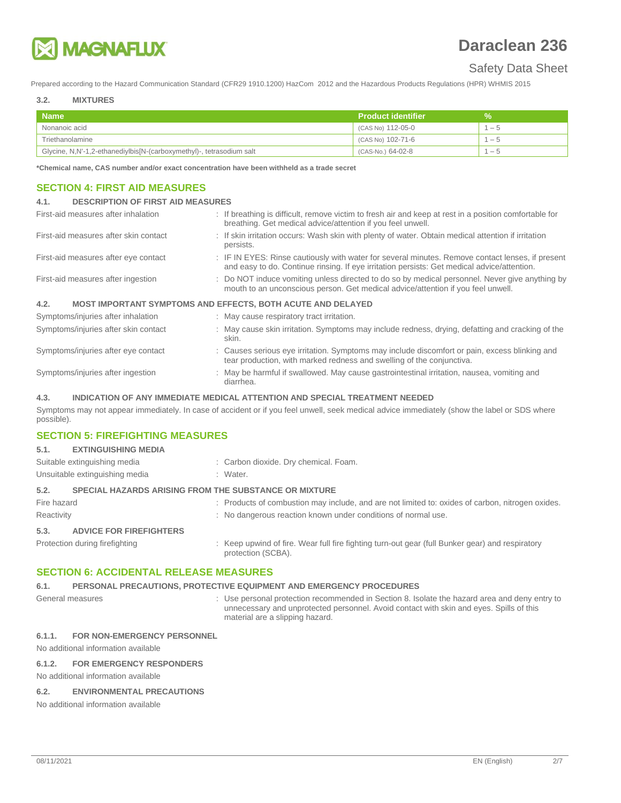

## Safety Data Sheet

Prepared according to the Hazard Communication Standard (CFR29 1910.1200) HazCom 2012 and the Hazardous Products Regulations (HPR) WHMIS 2015

#### **3.2. MIXTURES**

| <b>Name</b>                                                          | ⊾ Product identifier <sup>।</sup> | ٧A   |
|----------------------------------------------------------------------|-----------------------------------|------|
| Nonanoic acid                                                        | (CAS No) 112-05-0                 | $-5$ |
| Triethanolamine                                                      | (CAS No) 102-71-6                 | $-5$ |
| Glycine, N,N'-1,2-ethanediylbis[N-(carboxymethyl)-, tetrasodium salt | (CAS-No.) 64-02-8                 | - 5  |

**\*Chemical name, CAS number and/or exact concentration have been withheld as a trade secret**

## **SECTION 4: FIRST AID MEASURES**

### **4.1. DESCRIPTION OF FIRST AID MEASURES**

| First-aid measures after inhalation   | : If breathing is difficult, remove victim to fresh air and keep at rest in a position comfortable for<br>breathing. Get medical advice/attention if you feel unwell.                           |
|---------------------------------------|-------------------------------------------------------------------------------------------------------------------------------------------------------------------------------------------------|
| First-aid measures after skin contact | : If skin irritation occurs: Wash skin with plenty of water. Obtain medical attention if irritation<br>persists.                                                                                |
| First-aid measures after eye contact  | : IF IN EYES: Rinse cautiously with water for several minutes. Remove contact lenses, if present<br>and easy to do. Continue rinsing. If eye irritation persists: Get medical advice/attention. |
| First-aid measures after ingestion    | : Do NOT induce vomiting unless directed to do so by medical personnel. Never give anything by<br>mouth to an unconscious person. Get medical advice/attention if you feel unwell.              |
| 4.2.                                  | <b>MOST IMPORTANT SYMPTOMS AND EFFECTS, BOTH ACUTE AND DELAYED</b>                                                                                                                              |
| Symptoms/injuries after inhalation    | : May cause respiratory tract irritation.                                                                                                                                                       |
| Symptoms/injuries after skin contact  | : May cause skin irritation. Symptoms may include redness, drying, defatting and cracking of the<br>skin.                                                                                       |
| Symptoms/injuries after eye contact   | : Causes serious eye irritation. Symptoms may include discomfort or pain, excess blinking and<br>tear production, with marked redness and swelling of the conjunctiva.                          |
| Symptoms/injuries after ingestion     | : May be harmful if swallowed. May cause gastrointestinal irritation, nausea, vomiting and<br>diarrhea.                                                                                         |

## **4.3. INDICATION OF ANY IMMEDIATE MEDICAL ATTENTION AND SPECIAL TREATMENT NEEDED**

Symptoms may not appear immediately. In case of accident or if you feel unwell, seek medical advice immediately (show the label or SDS where possible).

## **SECTION 5: FIREFIGHTING MEASURES**

| <b>EXTINGUISHING MEDIA</b>     |                                                                                                                       |
|--------------------------------|-----------------------------------------------------------------------------------------------------------------------|
| Suitable extinguishing media   | : Carbon dioxide. Dry chemical. Foam.                                                                                 |
| Unsuitable extinguishing media | : Water.                                                                                                              |
|                                |                                                                                                                       |
| Fire hazard                    | : Products of combustion may include, and are not limited to: oxides of carbon, nitrogen oxides.                      |
| Reactivity                     | : No dangerous reaction known under conditions of normal use.                                                         |
| <b>ADVICE FOR FIREFIGHTERS</b> |                                                                                                                       |
| Protection during firefighting | : Keep upwind of fire. Wear full fire fighting turn-out gear (full Bunker gear) and respiratory<br>protection (SCBA). |
|                                | <b>SPECIAL HAZARDS ARISING FROM THE SUBSTANCE OR MIXTURE</b>                                                          |

## **SECTION 6: ACCIDENTAL RELEASE MEASURES**

## **6.1. PERSONAL PRECAUTIONS, PROTECTIVE EQUIPMENT AND EMERGENCY PROCEDURES**

General measures **Supersupe 3** Cuse personal protection recommended in Section 8. Isolate the hazard area and deny entry to unnecessary and unprotected personnel. Avoid contact with skin and eyes. Spills of this material are a slipping hazard.

## **6.1.1. FOR NON-EMERGENCY PERSONNEL**

No additional information available

#### **6.1.2. FOR EMERGENCY RESPONDERS**

No additional information available

## **6.2. ENVIRONMENTAL PRECAUTIONS**

No additional information available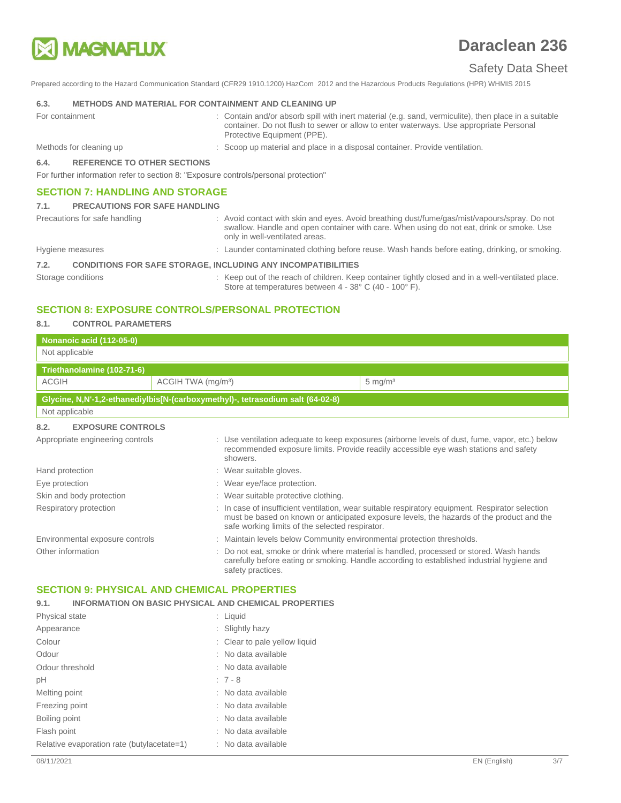

## Safety Data Sheet

Prepared according to the Hazard Communication Standard (CFR29 1910.1200) HazCom 2012 and the Hazardous Products Regulations (HPR) WHMIS 2015

#### **6.3. METHODS AND MATERIAL FOR CONTAINMENT AND CLEANING UP**

- For containment **interval and/or absorb** spill with inert material (e.g. sand, vermiculite), then place in a suitable container. Do not flush to sewer or allow to enter waterways. Use appropriate Personal Protective Equipment (PPE).
- 
- Methods for cleaning up : Scoop up material and place in a disposal container. Provide ventilation.

**6.4. REFERENCE TO OTHER SECTIONS**

For further information refer to section 8: "Exposure controls/personal protection"

## **SECTION 7: HANDLING AND STORAGE**

#### **7.1. PRECAUTIONS FOR SAFE HANDLING**

Precautions for safe handling **interpretatal in the state of the state of the state of the state of the state of the state of the state of the state of the state of the state of the state of the state of the state of the s** swallow. Handle and open container with care. When using do not eat, drink or smoke. Use only in well-ventilated areas. Hygiene measures **induced a measure contaminated clothing** before reuse. Wash hands before eating, drinking, or smoking.

#### **7.2. CONDITIONS FOR SAFE STORAGE, INCLUDING ANY INCOMPATIBILITIES**

Storage conditions **Storage conditions** : Keep out of the reach of children. Keep container tightly closed and in a well-ventilated place. Store at temperatures between 4 - 38° C (40 - 100° F).

## **SECTION 8: EXPOSURE CONTROLS/PERSONAL PROTECTION**

#### **8.1. CONTROL PARAMETERS**

| <b>Nonanoic acid (112-05-0)</b><br>Not applicable  |                                |                                                                                |                                                                                                                                                                                               |
|----------------------------------------------------|--------------------------------|--------------------------------------------------------------------------------|-----------------------------------------------------------------------------------------------------------------------------------------------------------------------------------------------|
| Triethanolamine (102-71-6)                         |                                |                                                                                |                                                                                                                                                                                               |
| <b>ACGIH</b>                                       | ACGIH TWA (mg/m <sup>3</sup> ) |                                                                                | $5 \text{ mg/m}^3$                                                                                                                                                                            |
|                                                    |                                | Glycine, N,N'-1,2-ethanediylbis[N-(carboxymethyl)-, tetrasodium salt (64-02-8) |                                                                                                                                                                                               |
| Not applicable                                     |                                |                                                                                |                                                                                                                                                                                               |
| <b>EXPOSURE CONTROLS</b><br>8.2.                   |                                |                                                                                |                                                                                                                                                                                               |
| Appropriate engineering controls                   |                                | showers.                                                                       | : Use ventilation adequate to keep exposures (airborne levels of dust, fume, vapor, etc.) below<br>recommended exposure limits. Provide readily accessible eye wash stations and safety       |
| Hand protection                                    |                                | : Wear suitable gloves.                                                        |                                                                                                                                                                                               |
| Eye protection                                     |                                | : Wear eye/face protection.                                                    |                                                                                                                                                                                               |
| Skin and body protection                           |                                | : Wear suitable protective clothing.                                           |                                                                                                                                                                                               |
| Respiratory protection                             |                                | safe working limits of the selected respirator.                                | : In case of insufficient ventilation, wear suitable respiratory equipment. Respirator selection<br>must be based on known or anticipated exposure levels, the hazards of the product and the |
| Environmental exposure controls                    |                                | : Maintain levels below Community environmental protection thresholds.         |                                                                                                                                                                                               |
| Other information                                  |                                | safety practices.                                                              | Do not eat, smoke or drink where material is handled, processed or stored. Wash hands<br>carefully before eating or smoking. Handle according to established industrial hygiene and           |
| <b>SECTION 9: PHYSICAL AND CHEMICAL PROPERTIES</b> |                                |                                                                                |                                                                                                                                                                                               |

## **SECTION 9: PHYSICAL AND CHEMICAL PROPERTIES**

| 9.1.                  | <b>INFORMATION ON BASIC PHYSICAL AND CHEMICAL PROPERTIES</b> |                               |
|-----------------------|--------------------------------------------------------------|-------------------------------|
| <b>Physical state</b> |                                                              | : Liquid                      |
| Appearance            |                                                              | : Slightly hazy               |
| Colour                |                                                              | : Clear to pale yellow liquid |
| Odour                 |                                                              | : No data available           |
| Odour threshold       |                                                              | : No data available           |
| pH                    |                                                              | $: 7 - 8$                     |
| Melting point         |                                                              | : No data available           |
| Freezing point        |                                                              | : No data available           |
| Boiling point         |                                                              | : No data available           |
| Flash point           |                                                              | : No data available           |
|                       | Relative evaporation rate (butylacetate=1)                   | : No data available           |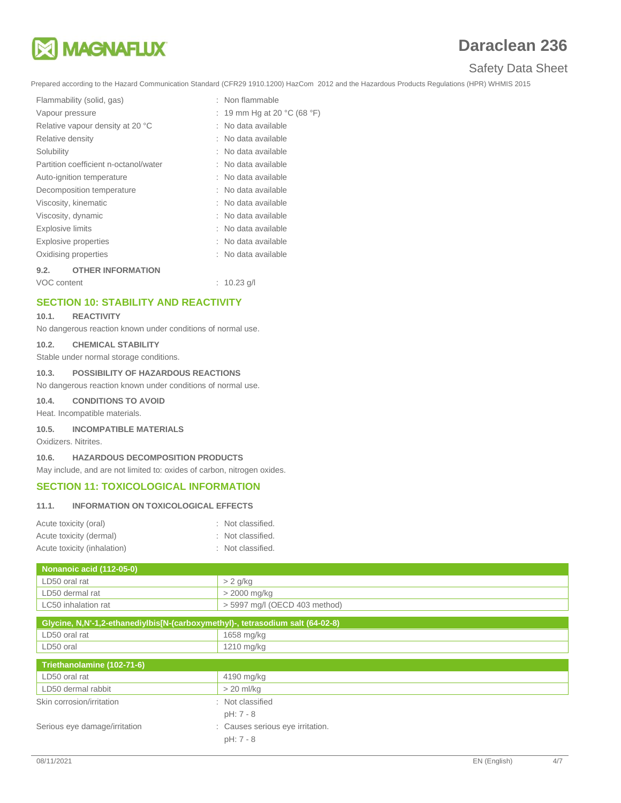

# Safety Data Sheet

Prepared according to the Hazard Communication Standard (CFR29 1910.1200) HazCom 2012 and the Hazardous Products Regulations (HPR) WHMIS 2015

| Flammability (solid, gas)             | : Non flammable             |
|---------------------------------------|-----------------------------|
| Vapour pressure                       | : 19 mm Hg at 20 °C (68 °F) |
| Relative vapour density at 20 °C      | No data available           |
| Relative density                      | : No data available         |
| Solubility                            | : No data available         |
| Partition coefficient n-octanol/water | : No data available         |
| Auto-ignition temperature             | : No data available         |
| Decomposition temperature             | : No data available         |
| Viscosity, kinematic                  | : No data available         |
| Viscosity, dynamic                    | : No data available         |
| <b>Explosive limits</b>               | No data available           |
| Explosive properties                  | : No data available         |
| Oxidising properties                  | : No data available         |
| <b>OTHER INFORMATION</b><br>9.2.      |                             |

VOC content : 10.23 g/l

## **SECTION 10: STABILITY AND REACTIVITY**

#### **10.1. REACTIVITY**

No dangerous reaction known under conditions of normal use.

#### **10.2. CHEMICAL STABILITY**

Stable under normal storage conditions.

### **10.3. POSSIBILITY OF HAZARDOUS REACTIONS**

No dangerous reaction known under conditions of normal use.

**10.4. CONDITIONS TO AVOID**

Heat. Incompatible materials.

**10.5. INCOMPATIBLE MATERIALS**

Oxidizers. Nitrites.

### **10.6. HAZARDOUS DECOMPOSITION PRODUCTS**

May include, and are not limited to: oxides of carbon, nitrogen oxides.

## **SECTION 11: TOXICOLOGICAL INFORMATION**

#### **11.1. INFORMATION ON TOXICOLOGICAL EFFECTS**

| Acute toxicity (oral)       | : Not classified. |
|-----------------------------|-------------------|
| Acute toxicity (dermal)     | : Not classified. |
| Acute toxicity (inhalation) | : Not classified. |

| Nonanoic acid (112-05-0) |                                 |
|--------------------------|---------------------------------|
| LD50 oral rat            | $> 2$ g/kg                      |
| LD50 dermal rat          | > 2000 mg/kg                    |
| LC50 inhalation rat      | $>$ 5997 mg/l (OECD 403 method) |

| Glycine, N,N'-1,2-ethanediylbis[N-(carboxymethyl)-, tetrasodium salt (64-02-8) |                                  |  |
|--------------------------------------------------------------------------------|----------------------------------|--|
| LD50 oral rat                                                                  | 1658 mg/kg                       |  |
| LD50 oral                                                                      | 1210 mg/kg                       |  |
| Triethanolamine (102-71-6)                                                     |                                  |  |
| LD50 oral rat                                                                  | 4190 mg/kg                       |  |
| LD50 dermal rabbit                                                             | $> 20$ ml/kg                     |  |
| Skin corrosion/irritation                                                      | : Not classified                 |  |
|                                                                                | pH: 7 - 8                        |  |
| Serious eye damage/irritation                                                  | : Causes serious eye irritation. |  |
|                                                                                | $pH: 7 - 8$                      |  |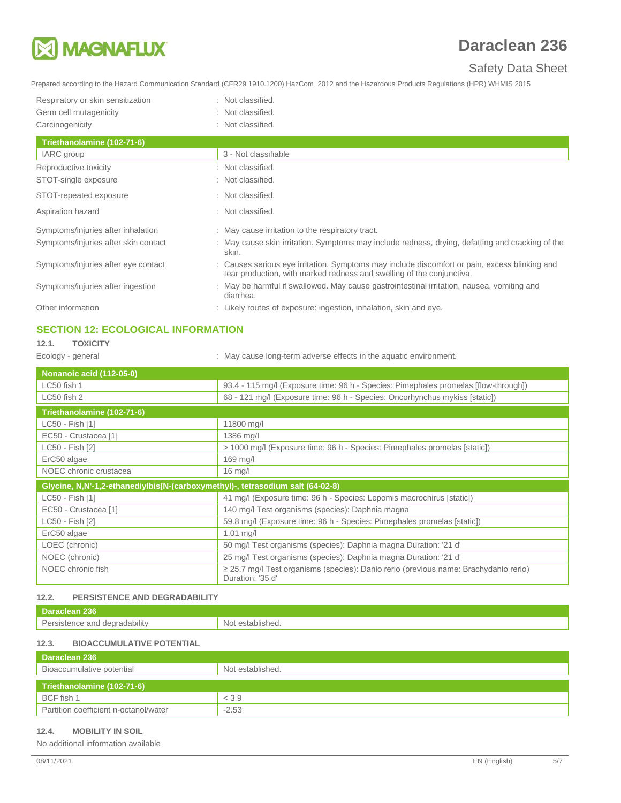

# Safety Data Sheet

Prepared according to the Hazard Communication Standard (CFR29 1910.1200) HazCom 2012 and the Hazardous Products Regulations (HPR) WHMIS 2015

| Respiratory or skin sensitization | : Not classified. |
|-----------------------------------|-------------------|
| Germ cell mutagenicity            | : Not classified. |
| Carcinogenicity                   | : Not classified. |
| Triethanolamine (102-71-6)        |                   |
| $IADC$ aroun                      | 2 Not closeifiak  |

| Triethanolamine (102-71-6)           |                                                                                                                                                                        |
|--------------------------------------|------------------------------------------------------------------------------------------------------------------------------------------------------------------------|
| IARC group                           | 3 - Not classifiable                                                                                                                                                   |
| Reproductive toxicity                | : Not classified.                                                                                                                                                      |
| STOT-single exposure                 | : Not classified.                                                                                                                                                      |
| STOT-repeated exposure               | : Not classified.                                                                                                                                                      |
| Aspiration hazard                    | : Not classified.                                                                                                                                                      |
| Symptoms/injuries after inhalation   | : May cause irritation to the respiratory tract.                                                                                                                       |
| Symptoms/injuries after skin contact | : May cause skin irritation. Symptoms may include redness, drying, defatting and cracking of the<br>skin.                                                              |
| Symptoms/injuries after eye contact  | : Causes serious eye irritation. Symptoms may include discomfort or pain, excess blinking and<br>tear production, with marked redness and swelling of the conjunctiva. |
| Symptoms/injuries after ingestion    | : May be harmful if swallowed. May cause gastrointestinal irritation, nausea, vomiting and<br>diarrhea.                                                                |
| Other information                    | : Likely routes of exposure: ingestion, inhalation, skin and eye.                                                                                                      |

## **SECTION 12: ECOLOGICAL INFORMATION**

# **12.1. TOXICITY**

Ecology - general **Ecology** - general  $\cdot$  May cause long-term adverse effects in the aquatic environment.

| <b>Nonanoic acid (112-05-0)</b>                                                |                                                                                                          |  |
|--------------------------------------------------------------------------------|----------------------------------------------------------------------------------------------------------|--|
| LC50 fish 1                                                                    | 93.4 - 115 mg/l (Exposure time: 96 h - Species: Pimephales promelas [flow-through])                      |  |
| LC50 fish 2                                                                    | 68 - 121 mg/l (Exposure time: 96 h - Species: Oncorhynchus mykiss [static])                              |  |
| Triethanolamine (102-71-6)                                                     |                                                                                                          |  |
| LC50 - Fish [1]                                                                | 11800 mg/l                                                                                               |  |
| EC50 - Crustacea [1]                                                           | 1386 mg/l                                                                                                |  |
| LC50 - Fish [2]                                                                | > 1000 mg/l (Exposure time: 96 h - Species: Pimephales promelas [static])                                |  |
| ErC50 algae                                                                    | 169 mg/l                                                                                                 |  |
| NOEC chronic crustacea                                                         | $16$ mg/l                                                                                                |  |
| Glycine, N,N'-1,2-ethanediylbis[N-(carboxymethyl)-, tetrasodium salt (64-02-8) |                                                                                                          |  |
| LC50 - Fish [1]                                                                | 41 mg/l (Exposure time: 96 h - Species: Lepomis macrochirus [static])                                    |  |
| EC50 - Crustacea [1]                                                           | 140 mg/l Test organisms (species): Daphnia magna                                                         |  |
| LC50 - Fish [2]                                                                | 59.8 mg/l (Exposure time: 96 h - Species: Pimephales promelas [static])                                  |  |
| ErC50 algae                                                                    | $1.01$ mg/l                                                                                              |  |
| LOEC (chronic)                                                                 | 50 mg/l Test organisms (species): Daphnia magna Duration: '21 d'                                         |  |
| NOEC (chronic)                                                                 | 25 mg/l Test organisms (species): Daphnia magna Duration: '21 d'                                         |  |
| NOEC chronic fish                                                              | ≥ 25.7 mg/l Test organisms (species): Danio rerio (previous name: Brachydanio rerio)<br>Duration: '35 d' |  |

## **12.2. PERSISTENCE AND DEGRADABILITY**

| 136                                    |                          |
|----------------------------------------|--------------------------|
| Par<br><br>anr<br>עזוווחבר<br>،⊿۱<br>. | N <sub>0</sub><br>، دے ، |

## **12.3. BIOACCUMULATIVE POTENTIAL**

| Daraclean 236                         |                  |  |  |
|---------------------------------------|------------------|--|--|
| Bioaccumulative potential             | Not established. |  |  |
| Triethanolamine (102-71-6)            |                  |  |  |
| BCF fish 1                            | < 3.9            |  |  |
| Partition coefficient n-octanol/water | $-2.53$          |  |  |

## **12.4. MOBILITY IN SOIL**

No additional information available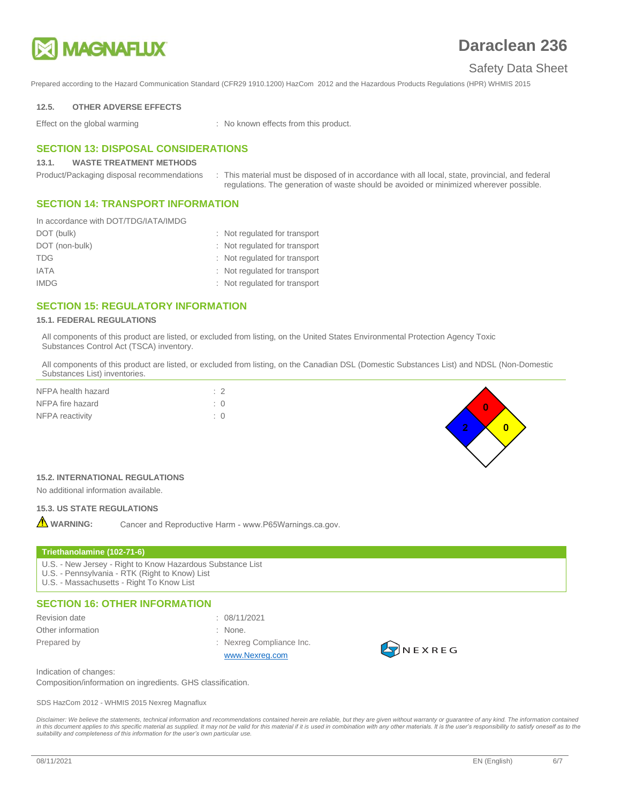

## Safety Data Sheet

Prepared according to the Hazard Communication Standard (CFR29 1910.1200) HazCom 2012 and the Hazardous Products Regulations (HPR) WHMIS 2015

#### **12.5. OTHER ADVERSE EFFECTS**

Effect on the global warming : No known effects from this product.

## **SECTION 13: DISPOSAL CONSIDERATIONS**

#### **13.1. WASTE TREATMENT METHODS**

Product/Packaging disposal recommendations : This material must be disposed of in accordance with all local, state, provincial, and federal regulations. The generation of waste should be avoided or minimized wherever possible.

## **SECTION 14: TRANSPORT INFORMATION**

| In accordance with DOT/TDG/IATA/IMDG |                               |
|--------------------------------------|-------------------------------|
| DOT (bulk)                           | : Not regulated for transport |
| DOT (non-bulk)                       | : Not regulated for transport |
| <b>TDG</b>                           | : Not regulated for transport |
| <b>IATA</b>                          | : Not regulated for transport |
| <b>IMDG</b>                          | : Not regulated for transport |

## **SECTION 15: REGULATORY INFORMATION**

#### **15.1. FEDERAL REGULATIONS**

All components of this product are listed, or excluded from listing, on the United States Environmental Protection Agency Toxic Substances Control Act (TSCA) inventory.

All components of this product are listed, or excluded from listing, on the Canadian DSL (Domestic Substances List) and NDSL (Non-Domestic Substances List) inventories.

| NFPA health hazard | $\therefore$ 2 |  |
|--------------------|----------------|--|
| NFPA fire hazard   | $\div$ 0       |  |
| NFPA reactivity    | $\div$ 0       |  |



## **15.2. INTERNATIONAL REGULATIONS**

No additional information available.

### **15.3. US STATE REGULATIONS**

**A** WARNING: Cancer and Reproductive Harm - www.P65Warnings.ca.gov.

#### **Triethanolamine (102-71-6)**

- U.S. New Jersey Right to Know Hazardous Substance List
- U.S. Pennsylvania RTK (Right to Know) List
- U.S. Massachusetts Right To Know List

## **SECTION 16: OTHER INFORMATION**

- 
- Other information : None.

Revision date : 08/11/2021

- 
- 
- Prepared by **Example 20** Frepared by **Example 20** Frepared by **Example 20** Frepared by **EXAMPLE 20** FREPA [www.Nexreg.com](http://www.nexreg.com/)



Indication of changes:

Composition/information on ingredients. GHS classification.

SDS HazCom 2012 - WHMIS 2015 Nexreg Magnaflux

Disclaimer: We believe the statements, technical information and recommendations contained herein are reliable, but they are given without warranty or guarantee of any kind. The information contained in this document applies to this specific material as supplied. It may not be valid for this material if it is used in combination with any other materials. It is the user's responsibility to satisfy oneself as to the<br>suit